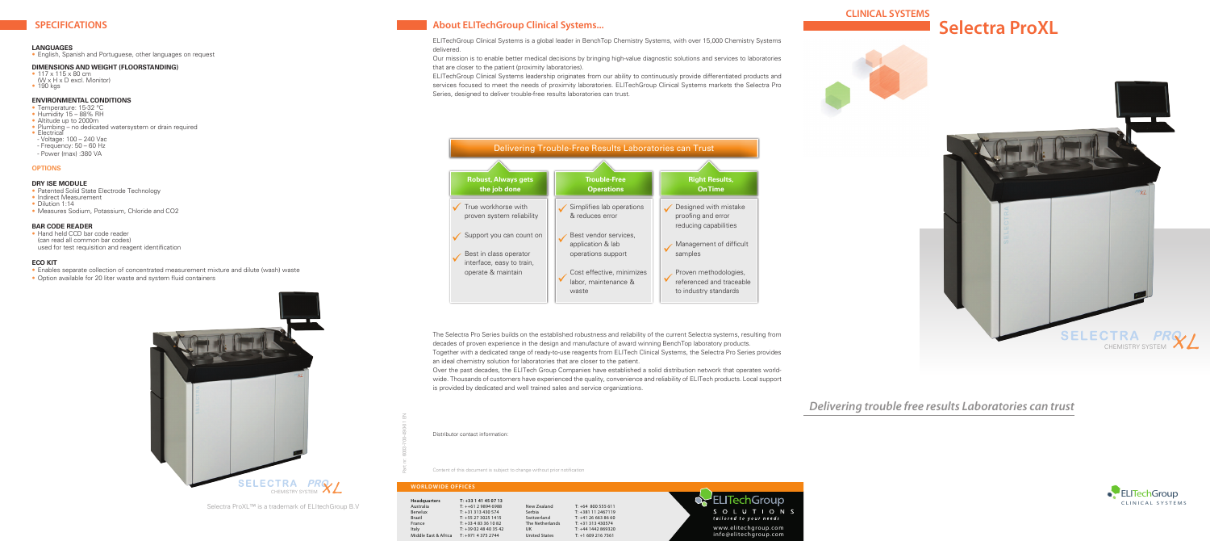

# *Delivering trouble free results Laboratories can trust*

## **SPECIFICATIONS About ELITechGroup Clinical Systems...**

### **LANGUAGES**

• English, Spanish and Portuguese, other languages on request

## **DIMENSIONS AND WEIGHT (FLOORSTANDING)**

- 117 x 115 x 80 cm
- (W x H x D excl. Monitor) • 190 kgs

## **ENVIRONMENTAL CONDITIONS**

- Patented Solid State Electrode Technology
- Indirect Measurement
- Dilution 1:14
- Measures Sodium, Potassium, Chloride and CO2

• Hand held CCD bar code reader (can read all common bar codes) used for test requisition and reagent identification

- Temperature: 15-32 °C
- Humidity 15 88% RH
- Altitude up to 2000m
- Plumbing no dedicated watersystem or drain required
- Electrical
- Voltage: 100 240 Vac - Frequency: 50 – 60 Hz
- Power (max) :380 VA
- 

## **OPTIONS**

## **Dry ISE Module**

## **BAR CODE READER**

The Selectra Pro Series builds on the established robustness and reliability of the current Selectra systems, resulting from decades of proven experience in the design and manufacture of award winning BenchTop laboratory products. Together with a dedicated range of ready-to-use reagents from ELITech Clinical Systems, the Selectra Pro Series provides an ideal chemistry solution for laboratories that are closer to the patient. Over the past decades, the ELITech Group Companies have established a solid distribution network that operates world-<br>WWW WERSION CONTROLLER CONTROLLER CONTROLLER CONTROLLER CONTROLLER CONTROLLER CONTROLLER CONTROLLER CONT wide. Thousands of customers have experienced the quality, convenience and reliability of ELITech products. Local support is provided by dedicated and well trained sales and service organizations.

## **ECO KIT**

- Enables separate collection of concentrated measurement mixture and dilute (wash) waste
- Option available for 20 liter waste and system fluid containers





ELITechGroup Clinical Systems is a global leader in BenchTop Chemistry Systems, with over 15,000 Chemistry Systems delivered.

Our mission is to enable better medical decisions by bringing high-value diagnostic solutions and services to laboratories that are closer to the patient (proximity laboratories).

ELITechGroup Clinical Systems leadership originates from our ability to continuously provide differentiated products and services focused to meet the needs of proximity laboratories. ELITechGroup Clinical Systems markets the Selectra Pro Series, designed to deliver trouble-free results laboratories can trust.

Part nr: 6003-700-490-01 EN

Distributor contact information:



## **WORLDWIDE OFFICES**

| Headquarters         | $T: +33141450713$  |                      |                      |
|----------------------|--------------------|----------------------|----------------------|
| Australia            | $T: ++61298946988$ | New Zealand          | $T: +64$ 800 555 611 |
| Benelux              | $T: +31313430574$  | Serbia               | T: +381 11 2467119   |
| <b>Brazil</b>        | $T: +552730251415$ | Switzerland          | $T: +41266638660$    |
| France               | $T: +33483361082$  | The Netherlands      | $T: +31313430574$    |
| Italy                | $T: +390248403542$ | UK                   | T: +44 1442 869320   |
| Middle East & Africa | $T: +97143752744$  | <b>United States</b> | $T: +16092167361$    |

Content of this document is subject to change without prior notification



Selectra ProXL™ is a trademark of ELItechGroup B.V